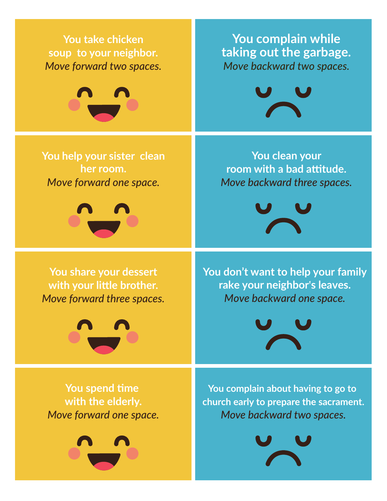**You take chicken soup to your neighbor.** *Move forward two spaces.*



**You help your sister clean her room.**  *Move forward one space.*



**You share your dessert with your little brother.** *Move forward three spaces.*



**You spend time with the elderly.** *Move forward one space.*



**You complain while taking out the garbage.** *Move backward two spaces.*



**You clean your room with a bad attitude.** *Move backward three spaces.*



**You don't want to help your family rake your neighbor's leaves.** *Move backward one space.*



**You complain about having to go to church early to prepare the sacrament.** *Move backward two spaces.*

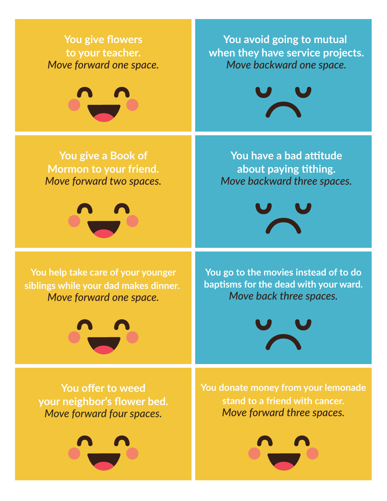